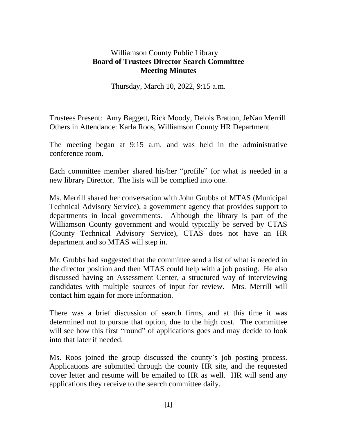## Williamson County Public Library **Board of Trustees Director Search Committee Meeting Minutes**

Thursday, March 10, 2022, 9:15 a.m.

Trustees Present: Amy Baggett, Rick Moody, Delois Bratton, JeNan Merrill Others in Attendance: Karla Roos, Williamson County HR Department

The meeting began at 9:15 a.m. and was held in the administrative conference room.

Each committee member shared his/her "profile" for what is needed in a new library Director. The lists will be complied into one.

Ms. Merrill shared her conversation with John Grubbs of MTAS (Municipal Technical Advisory Service), a government agency that provides support to departments in local governments. Although the library is part of the Williamson County government and would typically be served by CTAS (County Technical Advisory Service), CTAS does not have an HR department and so MTAS will step in.

Mr. Grubbs had suggested that the committee send a list of what is needed in the director position and then MTAS could help with a job posting. He also discussed having an Assessment Center, a structured way of interviewing candidates with multiple sources of input for review. Mrs. Merrill will contact him again for more information.

There was a brief discussion of search firms, and at this time it was determined not to pursue that option, due to the high cost. The committee will see how this first "round" of applications goes and may decide to look into that later if needed.

Ms. Roos joined the group discussed the county's job posting process. Applications are submitted through the county HR site, and the requested cover letter and resume will be emailed to HR as well. HR will send any applications they receive to the search committee daily.